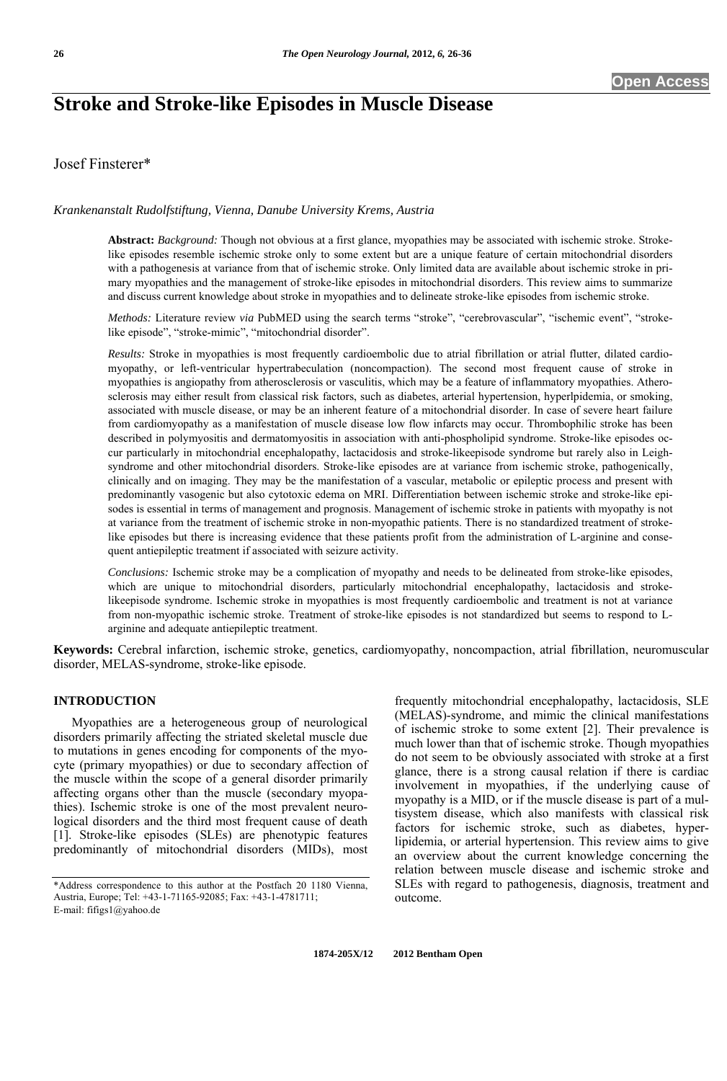# **Stroke and Stroke-like Episodes in Muscle Disease**

# Josef Finsterer\*

#### *Krankenanstalt Rudolfstiftung, Vienna, Danube University Krems, Austria*

**Abstract:** *Background:* Though not obvious at a first glance, myopathies may be associated with ischemic stroke. Strokelike episodes resemble ischemic stroke only to some extent but are a unique feature of certain mitochondrial disorders with a pathogenesis at variance from that of ischemic stroke. Only limited data are available about ischemic stroke in primary myopathies and the management of stroke-like episodes in mitochondrial disorders. This review aims to summarize and discuss current knowledge about stroke in myopathies and to delineate stroke-like episodes from ischemic stroke.

*Methods:* Literature review *via* PubMED using the search terms "stroke", "cerebrovascular", "ischemic event", "strokelike episode", "stroke-mimic", "mitochondrial disorder".

*Results:* Stroke in myopathies is most frequently cardioembolic due to atrial fibrillation or atrial flutter, dilated cardiomyopathy, or left-ventricular hypertrabeculation (noncompaction). The second most frequent cause of stroke in myopathies is angiopathy from atherosclerosis or vasculitis, which may be a feature of inflammatory myopathies. Atherosclerosis may either result from classical risk factors, such as diabetes, arterial hypertension, hyperlpidemia, or smoking, associated with muscle disease, or may be an inherent feature of a mitochondrial disorder. In case of severe heart failure from cardiomyopathy as a manifestation of muscle disease low flow infarcts may occur. Thrombophilic stroke has been described in polymyositis and dermatomyositis in association with anti-phospholipid syndrome. Stroke-like episodes occur particularly in mitochondrial encephalopathy, lactacidosis and stroke-likeepisode syndrome but rarely also in Leighsyndrome and other mitochondrial disorders. Stroke-like episodes are at variance from ischemic stroke, pathogenically, clinically and on imaging. They may be the manifestation of a vascular, metabolic or epileptic process and present with predominantly vasogenic but also cytotoxic edema on MRI. Differentiation between ischemic stroke and stroke-like episodes is essential in terms of management and prognosis. Management of ischemic stroke in patients with myopathy is not at variance from the treatment of ischemic stroke in non-myopathic patients. There is no standardized treatment of strokelike episodes but there is increasing evidence that these patients profit from the administration of L-arginine and consequent antiepileptic treatment if associated with seizure activity.

*Conclusions:* Ischemic stroke may be a complication of myopathy and needs to be delineated from stroke-like episodes, which are unique to mitochondrial disorders, particularly mitochondrial encephalopathy, lactacidosis and strokelikeepisode syndrome. Ischemic stroke in myopathies is most frequently cardioembolic and treatment is not at variance from non-myopathic ischemic stroke. Treatment of stroke-like episodes is not standardized but seems to respond to Larginine and adequate antiepileptic treatment.

**Keywords:** Cerebral infarction, ischemic stroke, genetics, cardiomyopathy, noncompaction, atrial fibrillation, neuromuscular disorder, MELAS-syndrome, stroke-like episode.

# **INTRODUCTION**

 Myopathies are a heterogeneous group of neurological disorders primarily affecting the striated skeletal muscle due to mutations in genes encoding for components of the myocyte (primary myopathies) or due to secondary affection of the muscle within the scope of a general disorder primarily affecting organs other than the muscle (secondary myopathies). Ischemic stroke is one of the most prevalent neurological disorders and the third most frequent cause of death [1]. Stroke-like episodes (SLEs) are phenotypic features predominantly of mitochondrial disorders (MIDs), most frequently mitochondrial encephalopathy, lactacidosis, SLE (MELAS)-syndrome, and mimic the clinical manifestations of ischemic stroke to some extent [2]. Their prevalence is much lower than that of ischemic stroke. Though myopathies do not seem to be obviously associated with stroke at a first glance, there is a strong causal relation if there is cardiac involvement in myopathies, if the underlying cause of myopathy is a MID, or if the muscle disease is part of a multisystem disease, which also manifests with classical risk factors for ischemic stroke, such as diabetes, hyperlipidemia, or arterial hypertension. This review aims to give an overview about the current knowledge concerning the relation between muscle disease and ischemic stroke and SLEs with regard to pathogenesis, diagnosis, treatment and outcome.

<sup>\*</sup>Address correspondence to this author at the Postfach 20 1180 Vienna, Austria, Europe; Tel: +43-1-71165-92085; Fax: +43-1-4781711; E-mail: fifigs1@yahoo.de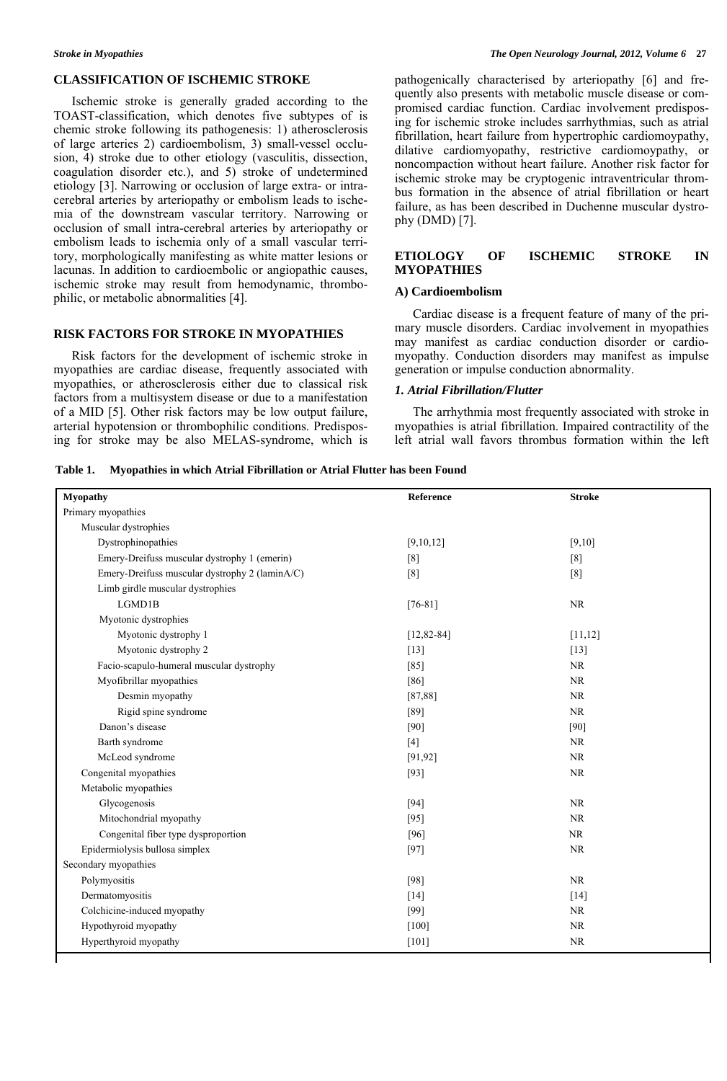#### **CLASSIFICATION OF ISCHEMIC STROKE**

 Ischemic stroke is generally graded according to the TOAST-classification, which denotes five subtypes of is chemic stroke following its pathogenesis: 1) atherosclerosis of large arteries 2) cardioembolism, 3) small-vessel occlusion, 4) stroke due to other etiology (vasculitis, dissection, coagulation disorder etc.), and 5) stroke of undetermined etiology [3]. Narrowing or occlusion of large extra- or intracerebral arteries by arteriopathy or embolism leads to ischemia of the downstream vascular territory. Narrowing or occlusion of small intra-cerebral arteries by arteriopathy or embolism leads to ischemia only of a small vascular territory, morphologically manifesting as white matter lesions or lacunas. In addition to cardioembolic or angiopathic causes, ischemic stroke may result from hemodynamic, thrombophilic, or metabolic abnormalities [4].

# **RISK FACTORS FOR STROKE IN MYOPATHIES**

 Risk factors for the development of ischemic stroke in myopathies are cardiac disease, frequently associated with myopathies, or atherosclerosis either due to classical risk factors from a multisystem disease or due to a manifestation of a MID [5]. Other risk factors may be low output failure, arterial hypotension or thrombophilic conditions. Predisposing for stroke may be also MELAS-syndrome, which is

pathogenically characterised by arteriopathy [6] and frequently also presents with metabolic muscle disease or compromised cardiac function. Cardiac involvement predisposing for ischemic stroke includes sarrhythmias, such as atrial fibrillation, heart failure from hypertrophic cardiomoypathy, dilative cardiomyopathy, restrictive cardiomoypathy, or noncompaction without heart failure. Another risk factor for ischemic stroke may be cryptogenic intraventricular thrombus formation in the absence of atrial fibrillation or heart failure, as has been described in Duchenne muscular dystrophy (DMD) [7].

# **ETIOLOGY OF ISCHEMIC STROKE IN MYOPATHIES**

# **A) Cardioembolism**

 Cardiac disease is a frequent feature of many of the primary muscle disorders. Cardiac involvement in myopathies may manifest as cardiac conduction disorder or cardiomyopathy. Conduction disorders may manifest as impulse generation or impulse conduction abnormality.

# *1. Atrial Fibrillation/Flutter*

 The arrhythmia most frequently associated with stroke in myopathies is atrial fibrillation. Impaired contractility of the left atrial wall favors thrombus formation within the left

| Table 1. Myopathies in which Atrial Fibrillation or Atrial Flutter has been Found |  |  |  |  |  |
|-----------------------------------------------------------------------------------|--|--|--|--|--|
|-----------------------------------------------------------------------------------|--|--|--|--|--|

| <b>Myopathy</b>                                | Reference       | <b>Stroke</b> |
|------------------------------------------------|-----------------|---------------|
| Primary myopathies                             |                 |               |
| Muscular dystrophies                           |                 |               |
| Dystrophinopathies                             | [9,10,12]       | [9,10]        |
| Emery-Dreifuss muscular dystrophy 1 (emerin)   | [8]             | [8]           |
| Emery-Dreifuss muscular dystrophy 2 (laminA/C) | [8]             | [8]           |
| Limb girdle muscular dystrophies               |                 |               |
| LGMD1B                                         | $[76-81]$       | NR            |
| Myotonic dystrophies                           |                 |               |
| Myotonic dystrophy 1                           | $[12, 82 - 84]$ | [11, 12]      |
| Myotonic dystrophy 2                           | $[13]$          | $[13]$        |
| Facio-scapulo-humeral muscular dystrophy       | $[85]$          | NR            |
| Myofibrillar myopathies                        | $[86]$          | <b>NR</b>     |
| Desmin myopathy                                | [87, 88]        | NR            |
| Rigid spine syndrome                           | $[89]$          | NR            |
| Danon's disease                                | $[90]$          | [90]          |
| Barth syndrome                                 | $[4]$           | NR            |
| McLeod syndrome                                | [91, 92]        | <b>NR</b>     |
| Congenital myopathies                          | $[93]$          | NR            |
| Metabolic myopathies                           |                 |               |
| Glycogenosis                                   | $[94]$          | NR            |
| Mitochondrial myopathy                         | $[95]$          | NR            |
| Congenital fiber type dysproportion            | [96]            | <b>NR</b>     |
| Epidermiolysis bullosa simplex                 | $[97]$          | NR            |
| Secondary myopathies                           |                 |               |
| Polymyositis                                   | $[98]$          | NR            |
| Dermatomyositis                                | $[14]$          | [14]          |
| Colchicine-induced myopathy                    | $[99]$          | NR            |
| Hypothyroid myopathy                           | $[100]$         | NR            |
| Hyperthyroid myopathy                          | $[101]$         | <b>NR</b>     |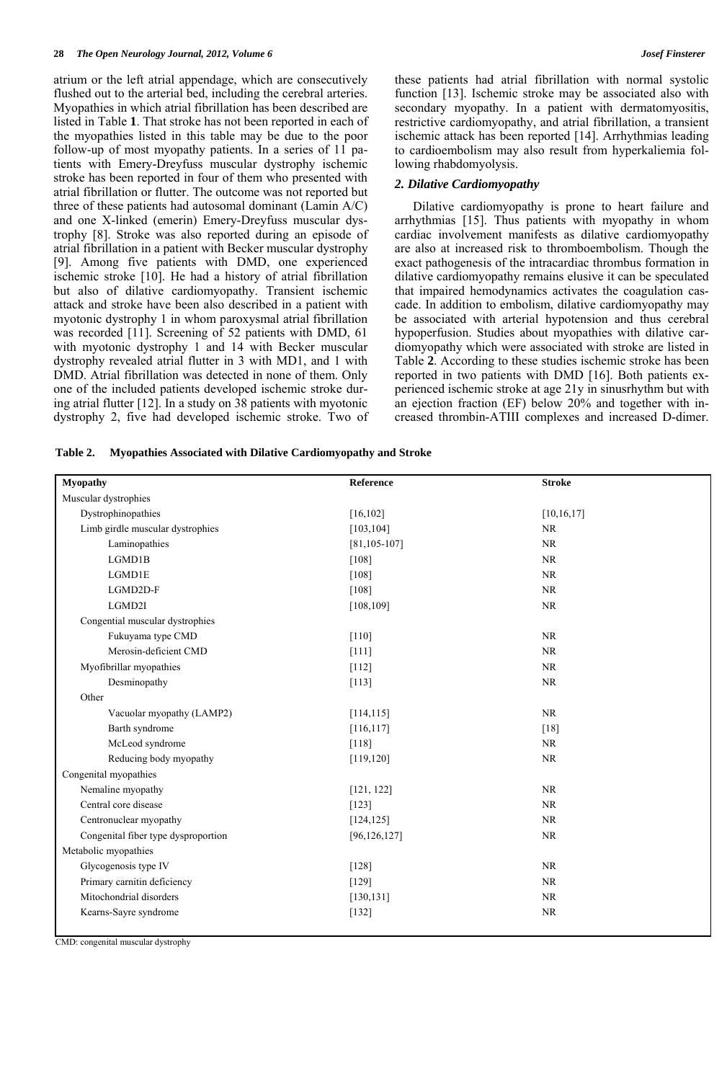atrium or the left atrial appendage, which are consecutively flushed out to the arterial bed, including the cerebral arteries. Myopathies in which atrial fibrillation has been described are listed in Table **1**. That stroke has not been reported in each of the myopathies listed in this table may be due to the poor follow-up of most myopathy patients. In a series of 11 patients with Emery-Dreyfuss muscular dystrophy ischemic stroke has been reported in four of them who presented with atrial fibrillation or flutter. The outcome was not reported but three of these patients had autosomal dominant (Lamin A/C) and one X-linked (emerin) Emery-Dreyfuss muscular dystrophy [8]. Stroke was also reported during an episode of atrial fibrillation in a patient with Becker muscular dystrophy [9]. Among five patients with DMD, one experienced ischemic stroke [10]. He had a history of atrial fibrillation but also of dilative cardiomyopathy. Transient ischemic attack and stroke have been also described in a patient with myotonic dystrophy 1 in whom paroxysmal atrial fibrillation was recorded [11]. Screening of 52 patients with DMD, 61 with myotonic dystrophy 1 and 14 with Becker muscular dystrophy revealed atrial flutter in 3 with MD1, and 1 with DMD. Atrial fibrillation was detected in none of them. Only one of the included patients developed ischemic stroke during atrial flutter [12]. In a study on 38 patients with myotonic dystrophy 2, five had developed ischemic stroke. Two of these patients had atrial fibrillation with normal systolic function [13]. Ischemic stroke may be associated also with secondary myopathy. In a patient with dermatomyositis, restrictive cardiomyopathy, and atrial fibrillation, a transient ischemic attack has been reported [14]. Arrhythmias leading to cardioembolism may also result from hyperkaliemia following rhabdomyolysis.

# *2. Dilative Cardiomyopathy*

 Dilative cardiomyopathy is prone to heart failure and arrhythmias [15]. Thus patients with myopathy in whom cardiac involvement manifests as dilative cardiomyopathy are also at increased risk to thromboembolism. Though the exact pathogenesis of the intracardiac thrombus formation in dilative cardiomyopathy remains elusive it can be speculated that impaired hemodynamics activates the coagulation cascade. In addition to embolism, dilative cardiomyopathy may be associated with arterial hypotension and thus cerebral hypoperfusion. Studies about myopathies with dilative cardiomyopathy which were associated with stroke are listed in Table **2**. According to these studies ischemic stroke has been reported in two patients with DMD [16]. Both patients experienced ischemic stroke at age 21y in sinusrhythm but with an ejection fraction (EF) below 20% and together with increased thrombin-ATIII complexes and increased D-dimer.

| Table 2. |  | Myopathies Associated with Dilative Cardiomyopathy and Stroke |  |
|----------|--|---------------------------------------------------------------|--|
|          |  |                                                               |  |

| <b>Myopathy</b>                     | Reference         | <b>Stroke</b> |
|-------------------------------------|-------------------|---------------|
| Muscular dystrophies                |                   |               |
| Dystrophinopathies                  | [16, 102]         | [10, 16, 17]  |
| Limb girdle muscular dystrophies    | [103, 104]        | NR            |
| Laminopathies                       | $[81, 105 - 107]$ | NR            |
| LGMD1B                              | $[108]$           | NR            |
| LGMD1E                              | $[108]$           | NR            |
| LGMD2D-F                            | $[108]$           | NR            |
| LGMD2I                              | [108, 109]        | <b>NR</b>     |
| Congential muscular dystrophies     |                   |               |
| Fukuyama type CMD                   | $[110]$           | NR            |
| Merosin-deficient CMD               | $[111]$           | NR            |
| Myofibrillar myopathies             | $[112]$           | NR            |
| Desminopathy                        | $[113]$           | NR            |
| Other                               |                   |               |
| Vacuolar myopathy (LAMP2)           | [114, 115]        | NR            |
| Barth syndrome                      | [116, 117]        | $[18]$        |
| McLeod syndrome                     | $[118]$           | NR            |
| Reducing body myopathy              | [119, 120]        | NR            |
| Congenital myopathies               |                   |               |
| Nemaline myopathy                   | [121, 122]        | NR            |
| Central core disease                | $[123]$           | <b>NR</b>     |
| Centronuclear myopathy              | [124, 125]        | NR            |
| Congenital fiber type dysproportion | [96, 126, 127]    | NR            |
| Metabolic myopathies                |                   |               |
| Glycogenosis type IV                | $[128]$           | NR            |
| Primary carnitin deficiency         | $[129]$           | <b>NR</b>     |
| Mitochondrial disorders             | [130, 131]        | NR            |
| Kearns-Sayre syndrome               | $[132]$           | NR            |
|                                     |                   |               |

CMD: congenital muscular dystrophy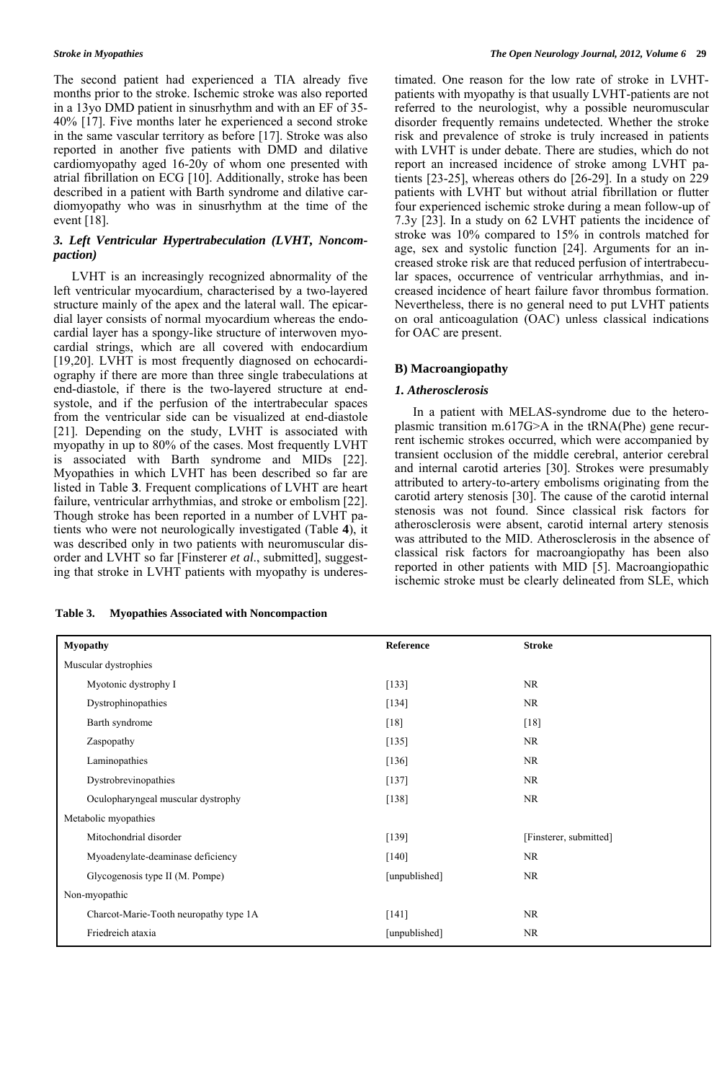The second patient had experienced a TIA already five months prior to the stroke. Ischemic stroke was also reported in a 13yo DMD patient in sinusrhythm and with an EF of 35- 40% [17]. Five months later he experienced a second stroke in the same vascular territory as before [17]. Stroke was also reported in another five patients with DMD and dilative cardiomyopathy aged 16-20y of whom one presented with atrial fibrillation on ECG [10]. Additionally, stroke has been described in a patient with Barth syndrome and dilative cardiomyopathy who was in sinusrhythm at the time of the event [18].

# *3. Left Ventricular Hypertrabeculation (LVHT, Noncompaction)*

 LVHT is an increasingly recognized abnormality of the left ventricular myocardium, characterised by a two-layered structure mainly of the apex and the lateral wall. The epicardial layer consists of normal myocardium whereas the endocardial layer has a spongy-like structure of interwoven myocardial strings, which are all covered with endocardium [19,20]. LVHT is most frequently diagnosed on echocardiography if there are more than three single trabeculations at end-diastole, if there is the two-layered structure at endsystole, and if the perfusion of the intertrabecular spaces from the ventricular side can be visualized at end-diastole [21]. Depending on the study, LVHT is associated with myopathy in up to 80% of the cases. Most frequently LVHT is associated with Barth syndrome and MIDs [22]. Myopathies in which LVHT has been described so far are listed in Table **3**. Frequent complications of LVHT are heart failure, ventricular arrhythmias, and stroke or embolism [22]. Though stroke has been reported in a number of LVHT patients who were not neurologically investigated (Table **4**), it was described only in two patients with neuromuscular disorder and LVHT so far [Finsterer *et al*., submitted], suggesting that stroke in LVHT patients with myopathy is underes-

| Table 3. | <b>Myopathies Associated with Noncompaction</b> |
|----------|-------------------------------------------------|
|----------|-------------------------------------------------|

timated. One reason for the low rate of stroke in LVHTpatients with myopathy is that usually LVHT-patients are not referred to the neurologist, why a possible neuromuscular disorder frequently remains undetected. Whether the stroke risk and prevalence of stroke is truly increased in patients with LVHT is under debate. There are studies, which do not report an increased incidence of stroke among LVHT patients [23-25], whereas others do [26-29]. In a study on 229 patients with LVHT but without atrial fibrillation or flutter four experienced ischemic stroke during a mean follow-up of 7.3y [23]. In a study on 62 LVHT patients the incidence of stroke was 10% compared to 15% in controls matched for age, sex and systolic function [24]. Arguments for an increased stroke risk are that reduced perfusion of intertrabecular spaces, occurrence of ventricular arrhythmias, and increased incidence of heart failure favor thrombus formation. Nevertheless, there is no general need to put LVHT patients on oral anticoagulation (OAC) unless classical indications for OAC are present.

# **B) Macroangiopathy**

# *1. Atherosclerosis*

 In a patient with MELAS-syndrome due to the heteroplasmic transition m.617G>A in the tRNA(Phe) gene recurrent ischemic strokes occurred, which were accompanied by transient occlusion of the middle cerebral, anterior cerebral and internal carotid arteries [30]. Strokes were presumably attributed to artery-to-artery embolisms originating from the carotid artery stenosis [30]. The cause of the carotid internal stenosis was not found. Since classical risk factors for atherosclerosis were absent, carotid internal artery stenosis was attributed to the MID. Atherosclerosis in the absence of classical risk factors for macroangiopathy has been also reported in other patients with MID [5]. Macroangiopathic ischemic stroke must be clearly delineated from SLE, which

| Myopathy                               | Reference     | <b>Stroke</b>          |
|----------------------------------------|---------------|------------------------|
| Muscular dystrophies                   |               |                        |
| Myotonic dystrophy I                   | [133]         | <b>NR</b>              |
| Dystrophinopathies                     | [134]         | <b>NR</b>              |
| Barth syndrome                         | $[18]$        | $[18]$                 |
| Zaspopathy                             | [135]         | <b>NR</b>              |
| Laminopathies                          | $[136]$       | NR                     |
| Dystrobrevinopathies                   | $[137]$       | NR                     |
| Oculopharyngeal muscular dystrophy     | [138]         | NR                     |
| Metabolic myopathies                   |               |                        |
| Mitochondrial disorder                 | [139]         | [Finsterer, submitted] |
| Myoadenylate-deaminase deficiency      | $[140]$       | <b>NR</b>              |
| Glycogenosis type II (M. Pompe)        | [unpublished] | NR                     |
| Non-myopathic                          |               |                        |
| Charcot-Marie-Tooth neuropathy type 1A | $[141]$       | <b>NR</b>              |
| Friedreich ataxia                      | [unpublished] | NR                     |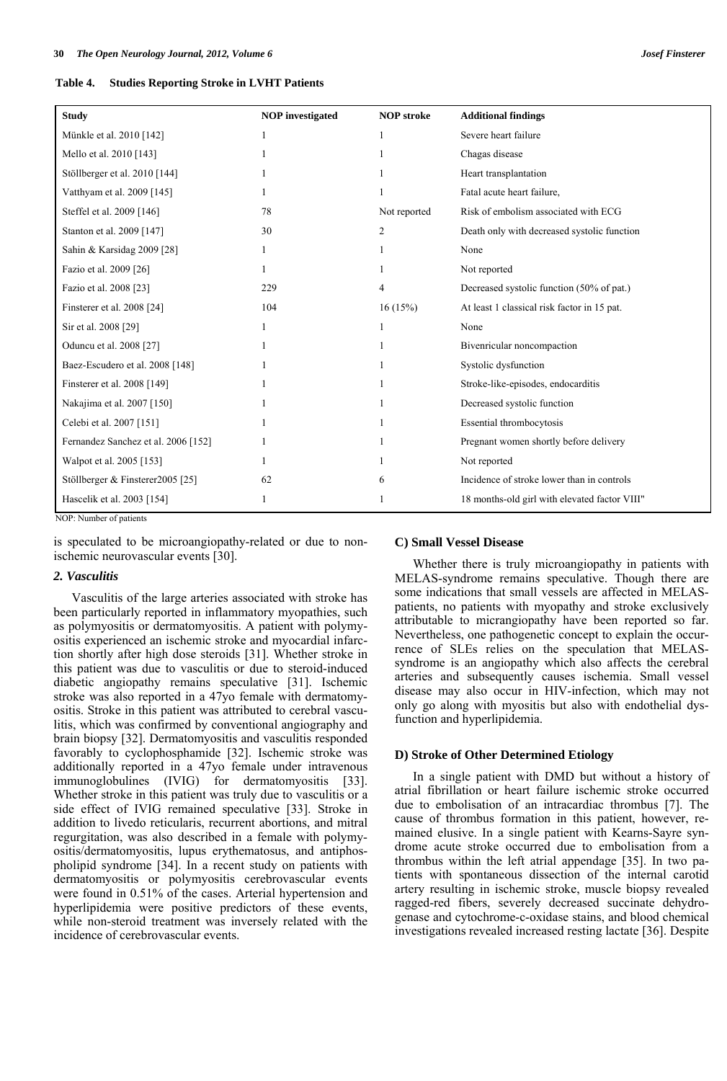| Table 4. |  | <b>Studies Reporting Stroke in LVHT Patients</b> |  |  |  |  |
|----------|--|--------------------------------------------------|--|--|--|--|
|----------|--|--------------------------------------------------|--|--|--|--|

| <b>Study</b>                        | <b>NOP</b> investigated | <b>NOP</b> stroke | <b>Additional findings</b>                    |
|-------------------------------------|-------------------------|-------------------|-----------------------------------------------|
| Münkle et al. 2010 [142]            |                         |                   | Severe heart failure                          |
| Mello et al. 2010 [143]             |                         |                   | Chagas disease                                |
| Stöllberger et al. 2010 [144]       |                         |                   | Heart transplantation                         |
| Vatthyam et al. 2009 [145]          |                         |                   | Fatal acute heart failure.                    |
| Steffel et al. 2009 [146]           | 78                      | Not reported      | Risk of embolism associated with ECG          |
| Stanton et al. 2009 [147]           | 30                      | 2                 | Death only with decreased systolic function   |
| Sahin & Karsidag 2009 [28]          |                         |                   | None                                          |
| Fazio et al. 2009 [26]              |                         |                   | Not reported                                  |
| Fazio et al. 2008 [23]              | 229                     | 4                 | Decreased systolic function (50% of pat.)     |
| Finsterer et al. 2008 [24]          | 104                     | 16(15%)           | At least 1 classical risk factor in 15 pat.   |
| Sir et al. 2008 [29]                |                         |                   | None                                          |
| Oduncu et al. 2008 [27]             |                         |                   | Bivenricular noncompaction                    |
| Baez-Escudero et al. 2008 [148]     |                         |                   | Systolic dysfunction                          |
| Finsterer et al. 2008 [149]         |                         |                   | Stroke-like-episodes, endocarditis            |
| Nakajima et al. 2007 [150]          |                         |                   | Decreased systolic function                   |
| Celebi et al. 2007 [151]            |                         |                   | Essential thrombocytosis                      |
| Fernandez Sanchez et al. 2006 [152] |                         |                   | Pregnant women shortly before delivery        |
| Walpot et al. 2005 [153]            |                         |                   | Not reported                                  |
| Stöllberger & Finsterer2005 [25]    | 62                      | 6                 | Incidence of stroke lower than in controls    |
| Hascelik et al. 2003 [154]          |                         |                   | 18 months-old girl with elevated factor VIII" |

NOP: Number of patients

is speculated to be microangiopathy-related or due to nonischemic neurovascular events [30].

# *2. Vasculitis*

 Vasculitis of the large arteries associated with stroke has been particularly reported in inflammatory myopathies, such as polymyositis or dermatomyositis. A patient with polymyositis experienced an ischemic stroke and myocardial infarction shortly after high dose steroids [31]. Whether stroke in this patient was due to vasculitis or due to steroid-induced diabetic angiopathy remains speculative [31]. Ischemic stroke was also reported in a 47yo female with dermatomyositis. Stroke in this patient was attributed to cerebral vasculitis, which was confirmed by conventional angiography and brain biopsy [32]. Dermatomyositis and vasculitis responded favorably to cyclophosphamide [32]. Ischemic stroke was additionally reported in a 47yo female under intravenous immunoglobulines (IVIG) for dermatomyositis [33]. Whether stroke in this patient was truly due to vasculitis or a side effect of IVIG remained speculative [33]. Stroke in addition to livedo reticularis, recurrent abortions, and mitral regurgitation, was also described in a female with polymyositis/dermatomyositis, lupus erythematosus, and antiphospholipid syndrome [34]. In a recent study on patients with dermatomyositis or polymyositis cerebrovascular events were found in 0.51% of the cases. Arterial hypertension and hyperlipidemia were positive predictors of these events, while non-steroid treatment was inversely related with the incidence of cerebrovascular events.

#### **C) Small Vessel Disease**

 Whether there is truly microangiopathy in patients with MELAS-syndrome remains speculative. Though there are some indications that small vessels are affected in MELASpatients, no patients with myopathy and stroke exclusively attributable to micrangiopathy have been reported so far. Nevertheless, one pathogenetic concept to explain the occurrence of SLEs relies on the speculation that MELASsyndrome is an angiopathy which also affects the cerebral arteries and subsequently causes ischemia. Small vessel disease may also occur in HIV-infection, which may not only go along with myositis but also with endothelial dysfunction and hyperlipidemia.

#### **D) Stroke of Other Determined Etiology**

 In a single patient with DMD but without a history of atrial fibrillation or heart failure ischemic stroke occurred due to embolisation of an intracardiac thrombus [7]. The cause of thrombus formation in this patient, however, remained elusive. In a single patient with Kearns-Sayre syndrome acute stroke occurred due to embolisation from a thrombus within the left atrial appendage [35]. In two patients with spontaneous dissection of the internal carotid artery resulting in ischemic stroke, muscle biopsy revealed ragged-red fibers, severely decreased succinate dehydrogenase and cytochrome-c-oxidase stains, and blood chemical investigations revealed increased resting lactate [36]. Despite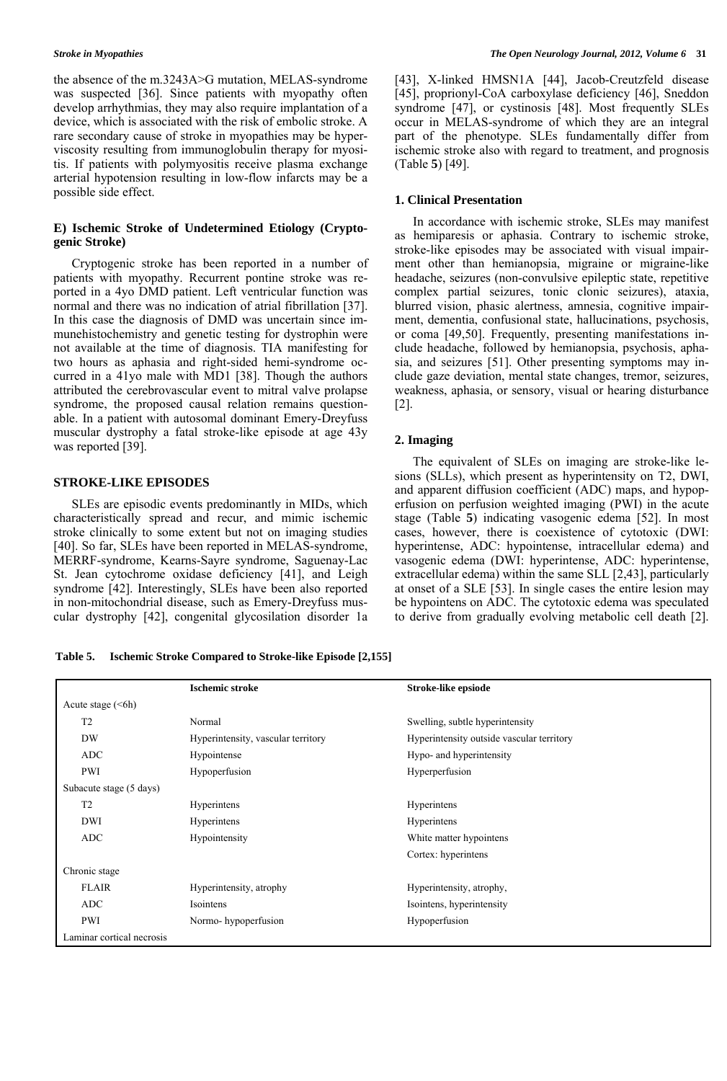the absence of the m.3243A>G mutation, MELAS-syndrome was suspected [36]. Since patients with myopathy often develop arrhythmias, they may also require implantation of a device, which is associated with the risk of embolic stroke. A rare secondary cause of stroke in myopathies may be hyperviscosity resulting from immunoglobulin therapy for myositis. If patients with polymyositis receive plasma exchange arterial hypotension resulting in low-flow infarcts may be a possible side effect.

# **E) Ischemic Stroke of Undetermined Etiology (Cryptogenic Stroke)**

 Cryptogenic stroke has been reported in a number of patients with myopathy. Recurrent pontine stroke was reported in a 4yo DMD patient. Left ventricular function was normal and there was no indication of atrial fibrillation [37]. In this case the diagnosis of DMD was uncertain since immunehistochemistry and genetic testing for dystrophin were not available at the time of diagnosis. TIA manifesting for two hours as aphasia and right-sided hemi-syndrome occurred in a 41yo male with MD1 [38]. Though the authors attributed the cerebrovascular event to mitral valve prolapse syndrome, the proposed causal relation remains questionable. In a patient with autosomal dominant Emery-Dreyfuss muscular dystrophy a fatal stroke-like episode at age 43y was reported [39].

### **STROKE-LIKE EPISODES**

 SLEs are episodic events predominantly in MIDs, which characteristically spread and recur, and mimic ischemic stroke clinically to some extent but not on imaging studies [40]. So far, SLEs have been reported in MELAS-syndrome, MERRF-syndrome, Kearns-Sayre syndrome, Saguenay-Lac St. Jean cytochrome oxidase deficiency [41], and Leigh syndrome [42]. Interestingly, SLEs have been also reported in non-mitochondrial disease, such as Emery-Dreyfuss muscular dystrophy [42], congenital glycosilation disorder 1a [43], X-linked HMSN1A [44], Jacob-Creutzfeld disease [45], proprionyl-CoA carboxylase deficiency [46], Sneddon syndrome [47], or cystinosis [48]. Most frequently SLEs occur in MELAS-syndrome of which they are an integral part of the phenotype. SLEs fundamentally differ from ischemic stroke also with regard to treatment, and prognosis (Table **5**) [49].

#### **1. Clinical Presentation**

 In accordance with ischemic stroke, SLEs may manifest as hemiparesis or aphasia. Contrary to ischemic stroke, stroke-like episodes may be associated with visual impairment other than hemianopsia, migraine or migraine-like headache, seizures (non-convulsive epileptic state, repetitive complex partial seizures, tonic clonic seizures), ataxia, blurred vision, phasic alertness, amnesia, cognitive impairment, dementia, confusional state, hallucinations, psychosis, or coma [49,50]. Frequently, presenting manifestations include headache, followed by hemianopsia, psychosis, aphasia, and seizures [51]. Other presenting symptoms may include gaze deviation, mental state changes, tremor, seizures, weakness, aphasia, or sensory, visual or hearing disturbance [2].

# **2. Imaging**

 The equivalent of SLEs on imaging are stroke-like lesions (SLLs), which present as hyperintensity on T2, DWI, and apparent diffusion coefficient (ADC) maps, and hypoperfusion on perfusion weighted imaging (PWI) in the acute stage (Table **5**) indicating vasogenic edema [52]. In most cases, however, there is coexistence of cytotoxic (DWI: hyperintense, ADC: hypointense, intracellular edema) and vasogenic edema (DWI: hyperintense, ADC: hyperintense, extracellular edema) within the same SLL [2,43], particularly at onset of a SLE [53]. In single cases the entire lesion may be hypointens on ADC. The cytotoxic edema was speculated to derive from gradually evolving metabolic cell death [2].

**Table 5. Ischemic Stroke Compared to Stroke-like Episode [2,155]** 

|                           | <b>Ischemic stroke</b>             | Stroke-like epsiode                       |  |
|---------------------------|------------------------------------|-------------------------------------------|--|
| Acute stage $(<6h)$       |                                    |                                           |  |
| T <sub>2</sub>            | Normal                             | Swelling, subtle hyperintensity           |  |
| <b>DW</b>                 | Hyperintensity, vascular territory | Hyperintensity outside vascular territory |  |
| <b>ADC</b>                | Hypointense                        | Hypo- and hyperintensity                  |  |
| PWI                       | Hypoperfusion                      | Hyperperfusion                            |  |
| Subacute stage (5 days)   |                                    |                                           |  |
| T <sub>2</sub>            | Hyperintens                        | Hyperintens                               |  |
| <b>DWI</b>                | Hyperintens                        | Hyperintens                               |  |
| <b>ADC</b>                | Hypointensity                      | White matter hypointens                   |  |
|                           |                                    | Cortex: hyperintens                       |  |
| Chronic stage             |                                    |                                           |  |
| <b>FLAIR</b>              | Hyperintensity, atrophy            | Hyperintensity, atrophy,                  |  |
| <b>ADC</b>                | Isointens                          | Isointens, hyperintensity                 |  |
| <b>PWI</b>                | Normo-hypoperfusion                | Hypoperfusion                             |  |
| Laminar cortical necrosis |                                    |                                           |  |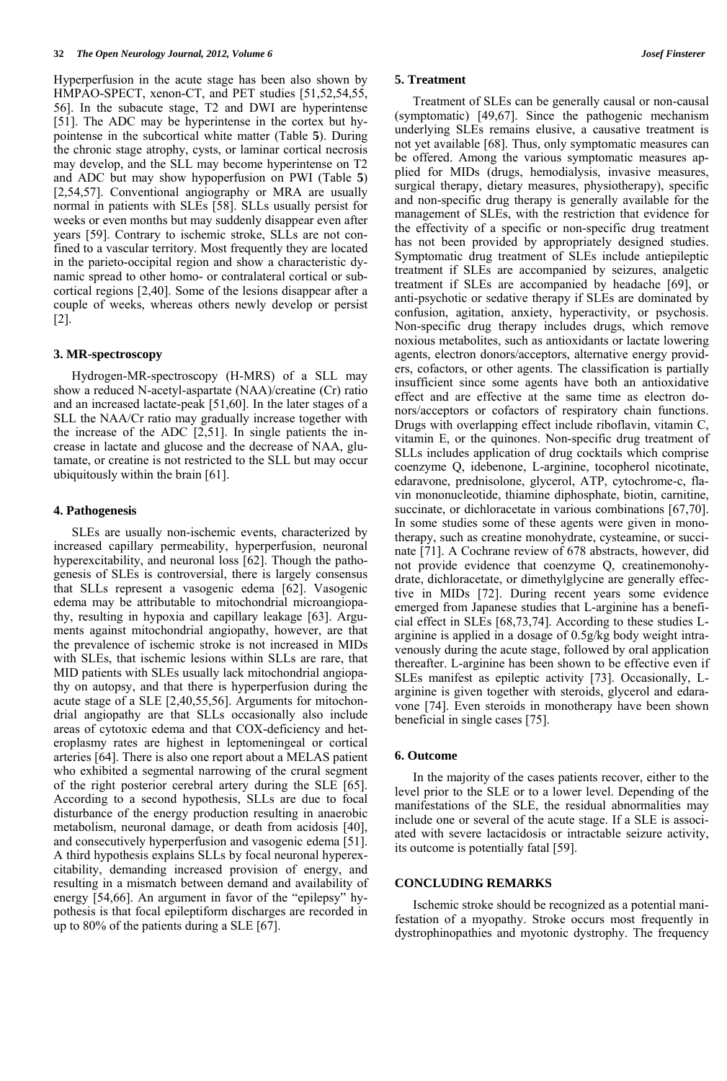Hyperperfusion in the acute stage has been also shown by HMPAO-SPECT, xenon-CT, and PET studies [51,52,54,55, 56]. In the subacute stage, T2 and DWI are hyperintense [51]. The ADC may be hyperintense in the cortex but hypointense in the subcortical white matter (Table **5**). During the chronic stage atrophy, cysts, or laminar cortical necrosis may develop, and the SLL may become hyperintense on T2 and ADC but may show hypoperfusion on PWI (Table **5**) [2,54,57]. Conventional angiography or MRA are usually normal in patients with SLEs [58]. SLLs usually persist for weeks or even months but may suddenly disappear even after years [59]. Contrary to ischemic stroke, SLLs are not confined to a vascular territory. Most frequently they are located in the parieto-occipital region and show a characteristic dynamic spread to other homo- or contralateral cortical or subcortical regions [2,40]. Some of the lesions disappear after a couple of weeks, whereas others newly develop or persist [2].

### **3. MR-spectroscopy**

 Hydrogen-MR-spectroscopy (H-MRS) of a SLL may show a reduced N-acetyl-aspartate (NAA)/creatine (Cr) ratio and an increased lactate-peak [51,60]. In the later stages of a SLL the NAA/Cr ratio may gradually increase together with the increase of the ADC [2,51]. In single patients the increase in lactate and glucose and the decrease of NAA, glutamate, or creatine is not restricted to the SLL but may occur ubiquitously within the brain [61].

#### **4. Pathogenesis**

 SLEs are usually non-ischemic events, characterized by increased capillary permeability, hyperperfusion, neuronal hyperexcitability, and neuronal loss [62]. Though the pathogenesis of SLEs is controversial, there is largely consensus that SLLs represent a vasogenic edema [62]. Vasogenic edema may be attributable to mitochondrial microangiopathy, resulting in hypoxia and capillary leakage [63]. Arguments against mitochondrial angiopathy, however, are that the prevalence of ischemic stroke is not increased in MIDs with SLEs, that ischemic lesions within SLLs are rare, that MID patients with SLEs usually lack mitochondrial angiopathy on autopsy, and that there is hyperperfusion during the acute stage of a SLE [2,40,55,56]. Arguments for mitochondrial angiopathy are that SLLs occasionally also include areas of cytotoxic edema and that COX-deficiency and heteroplasmy rates are highest in leptomeningeal or cortical arteries [64]. There is also one report about a MELAS patient who exhibited a segmental narrowing of the crural segment of the right posterior cerebral artery during the SLE [65]. According to a second hypothesis, SLLs are due to focal disturbance of the energy production resulting in anaerobic metabolism, neuronal damage, or death from acidosis [40], and consecutively hyperperfusion and vasogenic edema [51]. A third hypothesis explains SLLs by focal neuronal hyperexcitability, demanding increased provision of energy, and resulting in a mismatch between demand and availability of energy [54,66]. An argument in favor of the "epilepsy" hypothesis is that focal epileptiform discharges are recorded in up to 80% of the patients during a SLE [67].

#### **5. Treatment**

 Treatment of SLEs can be generally causal or non-causal (symptomatic) [49,67]. Since the pathogenic mechanism underlying SLEs remains elusive, a causative treatment is not yet available [68]. Thus, only symptomatic measures can be offered. Among the various symptomatic measures applied for MIDs (drugs, hemodialysis, invasive measures, surgical therapy, dietary measures, physiotherapy), specific and non-specific drug therapy is generally available for the management of SLEs, with the restriction that evidence for the effectivity of a specific or non-specific drug treatment has not been provided by appropriately designed studies. Symptomatic drug treatment of SLEs include antiepileptic treatment if SLEs are accompanied by seizures, analgetic treatment if SLEs are accompanied by headache [69], or anti-psychotic or sedative therapy if SLEs are dominated by confusion, agitation, anxiety, hyperactivity, or psychosis. Non-specific drug therapy includes drugs, which remove noxious metabolites, such as antioxidants or lactate lowering agents, electron donors/acceptors, alternative energy providers, cofactors, or other agents. The classification is partially insufficient since some agents have both an antioxidative effect and are effective at the same time as electron donors/acceptors or cofactors of respiratory chain functions. Drugs with overlapping effect include riboflavin, vitamin C, vitamin E, or the quinones. Non-specific drug treatment of SLLs includes application of drug cocktails which comprise coenzyme Q, idebenone, L-arginine, tocopherol nicotinate, edaravone, prednisolone, glycerol, ATP, cytochrome-c, flavin mononucleotide, thiamine diphosphate, biotin, carnitine, succinate, or dichloracetate in various combinations [67,70]. In some studies some of these agents were given in monotherapy, such as creatine monohydrate, cysteamine, or succinate [71]. A Cochrane review of 678 abstracts, however, did not provide evidence that coenzyme Q, creatinemonohydrate, dichloracetate, or dimethylglycine are generally effective in MIDs [72]. During recent years some evidence emerged from Japanese studies that L-arginine has a beneficial effect in SLEs [68,73,74]. According to these studies Larginine is applied in a dosage of 0.5g/kg body weight intravenously during the acute stage, followed by oral application thereafter. L-arginine has been shown to be effective even if SLEs manifest as epileptic activity [73]. Occasionally, Larginine is given together with steroids, glycerol and edaravone [74]. Even steroids in monotherapy have been shown beneficial in single cases [75].

### **6. Outcome**

 In the majority of the cases patients recover, either to the level prior to the SLE or to a lower level. Depending of the manifestations of the SLE, the residual abnormalities may include one or several of the acute stage. If a SLE is associated with severe lactacidosis or intractable seizure activity, its outcome is potentially fatal [59].

# **CONCLUDING REMARKS**

 Ischemic stroke should be recognized as a potential manifestation of a myopathy. Stroke occurs most frequently in dystrophinopathies and myotonic dystrophy. The frequency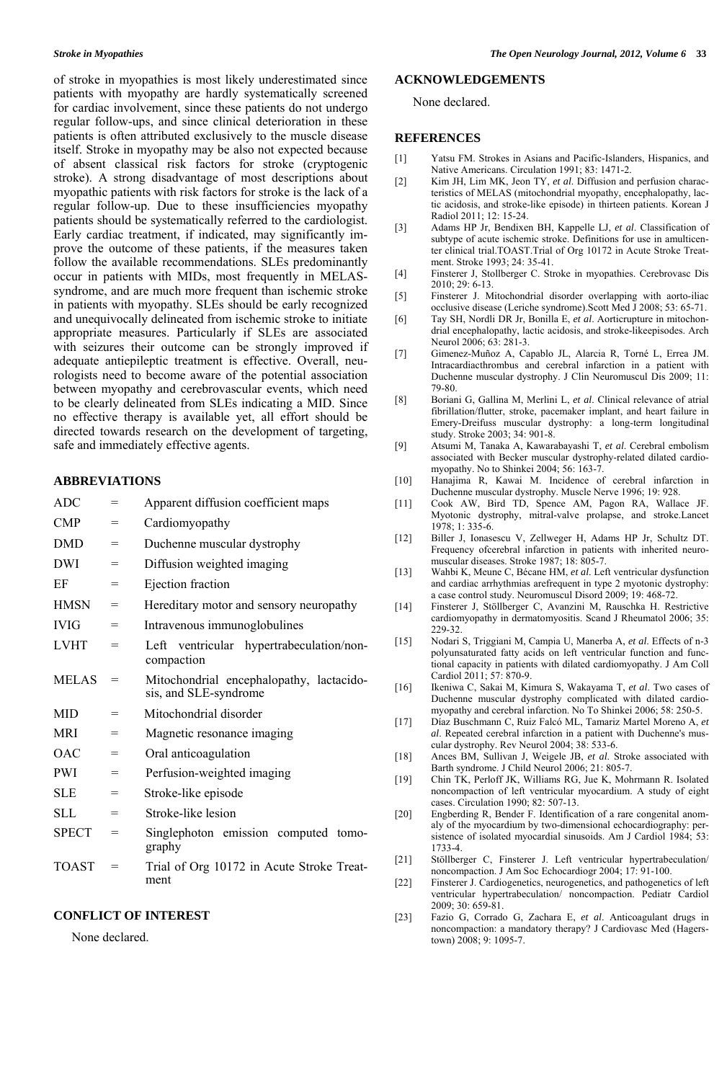of stroke in myopathies is most likely underestimated since patients with myopathy are hardly systematically screened for cardiac involvement, since these patients do not undergo regular follow-ups, and since clinical deterioration in these patients is often attributed exclusively to the muscle disease itself. Stroke in myopathy may be also not expected because of absent classical risk factors for stroke (cryptogenic stroke). A strong disadvantage of most descriptions about myopathic patients with risk factors for stroke is the lack of a regular follow-up. Due to these insufficiencies myopathy patients should be systematically referred to the cardiologist. Early cardiac treatment, if indicated, may significantly improve the outcome of these patients, if the measures taken follow the available recommendations. SLEs predominantly occur in patients with MIDs, most frequently in MELASsyndrome, and are much more frequent than ischemic stroke in patients with myopathy. SLEs should be early recognized and unequivocally delineated from ischemic stroke to initiate appropriate measures. Particularly if SLEs are associated with seizures their outcome can be strongly improved if adequate antiepileptic treatment is effective. Overall, neurologists need to become aware of the potential association between myopathy and cerebrovascular events, which need to be clearly delineated from SLEs indicating a MID. Since no effective therapy is available yet, all effort should be directed towards research on the development of targeting, safe and immediately effective agents.

# **ABBREVIATIONS**

| =   | Apparent diffusion coefficient maps                               |  |  |
|-----|-------------------------------------------------------------------|--|--|
| $=$ | Cardiomyopathy                                                    |  |  |
| $=$ | Duchenne muscular dystrophy                                       |  |  |
| $=$ | Diffusion weighted imaging                                        |  |  |
| $=$ | Ejection fraction                                                 |  |  |
| $=$ | Hereditary motor and sensory neuropathy                           |  |  |
| $=$ | Intravenous immunoglobulines                                      |  |  |
| $=$ | ventricular hypertrabeculation/non-<br>Left<br>compaction         |  |  |
| $=$ | Mitochondrial encephalopathy, lactacido-<br>sis, and SLE-syndrome |  |  |
| $=$ | Mitochondrial disorder                                            |  |  |
| $=$ | Magnetic resonance imaging                                        |  |  |
| $=$ | Oral anticoagulation                                              |  |  |
| $=$ | Perfusion-weighted imaging                                        |  |  |
| $=$ | Stroke-like episode                                               |  |  |
| $=$ | Stroke-like lesion                                                |  |  |
| $=$ | Singlephoton emission computed tomo-<br>graphy                    |  |  |
| $=$ | Trial of Org 10172 in Acute Stroke Treat-<br>ment                 |  |  |
|     |                                                                   |  |  |

# **CONFLICT OF INTEREST**

None declared.

# **ACKNOWLEDGEMENTS**

None declared.

### **REFERENCES**

- [1] Yatsu FM. Strokes in Asians and Pacific-Islanders, Hispanics, and Native Americans. Circulation 1991; 83: 1471-2.
- [2] Kim JH, Lim MK, Jeon TY, *et al*. Diffusion and perfusion characteristics of MELAS (mitochondrial myopathy, encephalopathy, lactic acidosis, and stroke-like episode) in thirteen patients. Korean J Radiol 2011; 12: 15-24.
- [3] Adams HP Jr, Bendixen BH, Kappelle LJ, *et al*. Classification of subtype of acute ischemic stroke. Definitions for use in amulticenter clinical trial.TOAST.Trial of Org 10172 in Acute Stroke Treatment. Stroke 1993; 24: 35-41.
- [4] Finsterer J, Stollberger C. Stroke in myopathies. Cerebrovasc Dis 2010; 29: 6-13.
- [5] Finsterer J. Mitochondrial disorder overlapping with aorto-iliac occlusive disease (Leriche syndrome).Scott Med J 2008; 53: 65-71.
- [6] Tay SH, Nordli DR Jr, Bonilla E, *et al*. Aorticrupture in mitochondrial encephalopathy, lactic acidosis, and stroke-likeepisodes. Arch Neurol 2006; 63: 281-3.
- [7] Gimenez-Muñoz A, Capablo JL, Alarcia R, Torné L, Errea JM. Intracardiacthrombus and cerebral infarction in a patient with Duchenne muscular dystrophy. J Clin Neuromuscul Dis 2009; 11: 79-80.
- [8] Boriani G, Gallina M, Merlini L, *et al*. Clinical relevance of atrial fibrillation/flutter, stroke, pacemaker implant, and heart failure in Emery-Dreifuss muscular dystrophy: a long-term longitudinal study. Stroke 2003; 34: 901-8.
- [9] Atsumi M, Tanaka A, Kawarabayashi T, *et al*. Cerebral embolism associated with Becker muscular dystrophy-related dilated cardiomyopathy. No to Shinkei 2004; 56: 163-7.
- [10] Hanajima R, Kawai M. Incidence of cerebral infarction in Duchenne muscular dystrophy. Muscle Nerve 1996; 19: 928.
- [11] Cook AW, Bird TD, Spence AM, Pagon RA, Wallace JF. Myotonic dystrophy, mitral-valve prolapse, and stroke.Lancet 1978; 1: 335-6.
- [12] Biller J, Ionasescu V, Zellweger H, Adams HP Jr, Schultz DT. Frequency ofcerebral infarction in patients with inherited neuromuscular diseases. Stroke 1987; 18: 805-7.
- [13] Wahbi K, Meune C, Bécane HM, *et al*. Left ventricular dysfunction and cardiac arrhythmias arefrequent in type 2 myotonic dystrophy: a case control study. Neuromuscul Disord 2009; 19: 468-72.
- [14] Finsterer J, Stöllberger C, Avanzini M, Rauschka H. Restrictive cardiomyopathy in dermatomyositis. Scand J Rheumatol 2006; 35: 229-32.
- [15] Nodari S, Triggiani M, Campia U, Manerba A, *et al*. Effects of n-3 polyunsaturated fatty acids on left ventricular function and functional capacity in patients with dilated cardiomyopathy. J Am Coll Cardiol 2011; 57: 870-9.
- [16] Ikeniwa C, Sakai M, Kimura S, Wakayama T, *et al*. Two cases of Duchenne muscular dystrophy complicated with dilated cardiomyopathy and cerebral infarction. No To Shinkei 2006; 58: 250-5.
- [17] Díaz Buschmann C, Ruiz Falcó ML, Tamariz Martel Moreno A, *et al*. Repeated cerebral infarction in a patient with Duchenne's muscular dystrophy. Rev Neurol 2004; 38: 533-6.
- [18] Ances BM, Sullivan J, Weigele JB, *et al*. Stroke associated with Barth syndrome. J Child Neurol 2006; 21: 805-7.
- [19] Chin TK, Perloff JK, Williams RG, Jue K, Mohrmann R. Isolated noncompaction of left ventricular myocardium. A study of eight cases. Circulation 1990; 82: 507-13.
- [20] Engberding R, Bender F. Identification of a rare congenital anomaly of the myocardium by two-dimensional echocardiography: persistence of isolated myocardial sinusoids. Am J Cardiol 1984; 53: 1733-4.
- [21] Stöllberger C, Finsterer J. Left ventricular hypertrabeculation/ noncompaction. J Am Soc Echocardiogr 2004; 17: 91-100.
- [22] Finsterer J. Cardiogenetics, neurogenetics, and pathogenetics of left ventricular hypertrabeculation/ noncompaction. Pediatr Cardiol 2009; 30: 659-81.
- [23] Fazio G, Corrado G, Zachara E, *et al*. Anticoagulant drugs in noncompaction: a mandatory therapy? J Cardiovasc Med (Hagerstown) 2008; 9: 1095-7.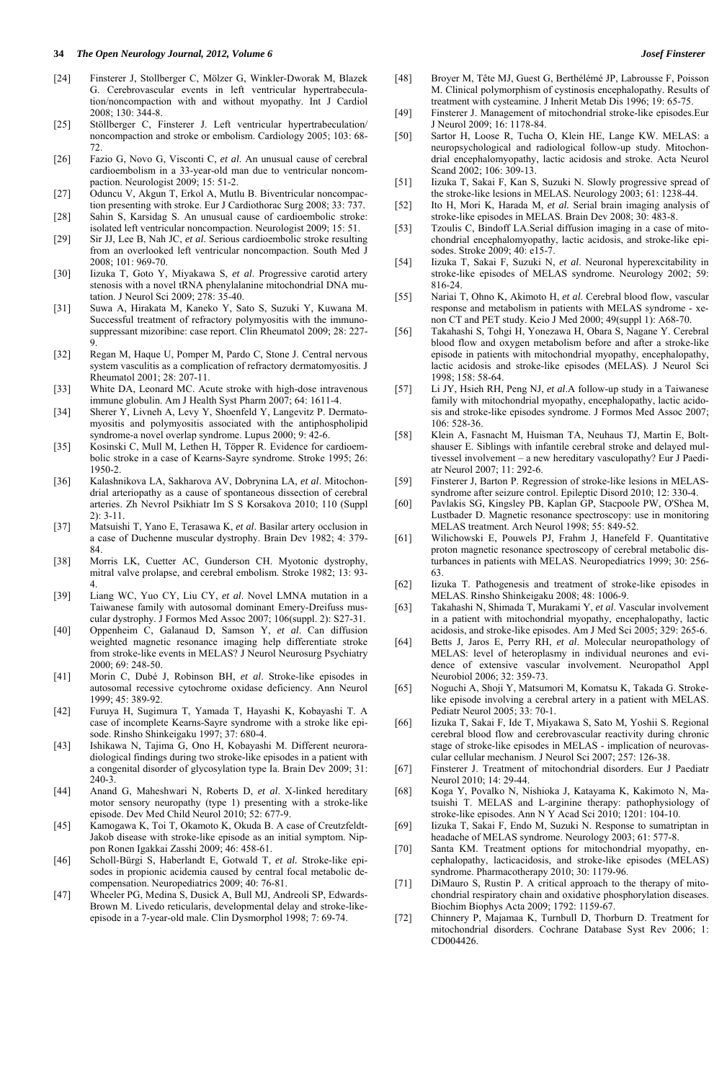#### **34** *The Open Neurology Journal, 2012, Volume 6 Josef Finsterer*

- [24] Finsterer J, Stollberger C, Mölzer G, Winkler-Dworak M, Blazek G. Cerebrovascular events in left ventricular hypertrabeculation/noncompaction with and without myopathy. Int J Cardiol 2008; 130: 344-8.
- [25] Stöllberger C, Finsterer J. Left ventricular hypertrabeculation/ noncompaction and stroke or embolism. Cardiology 2005; 103: 68- 72.
- [26] Fazio G, Novo G, Visconti C, *et al*. An unusual cause of cerebral cardioembolism in a 33-year-old man due to ventricular noncompaction. Neurologist 2009; 15: 51-2.
- [27] Oduncu V, Akgun T, Erkol A, Mutlu B. Biventricular noncompaction presenting with stroke. Eur J Cardiothorac Surg 2008; 33: 737.
- [28] Sahin S, Karsidag S. An unusual cause of cardioembolic stroke: isolated left ventricular noncompaction. Neurologist 2009; 15: 51.
- [29] Sir JJ, Lee B, Nah JC, *et al*. Serious cardioembolic stroke resulting from an overlooked left ventricular noncompaction. South Med J 2008; 101: 969-70.
- [30] Iizuka T, Goto Y, Miyakawa S, *et al*. Progressive carotid artery stenosis with a novel tRNA phenylalanine mitochondrial DNA mutation. J Neurol Sci 2009; 278: 35-40.
- [31] Suwa A, Hirakata M, Kaneko Y, Sato S, Suzuki Y, Kuwana M. Successful treatment of refractory polymyositis with the immunosuppressant mizoribine: case report. Clin Rheumatol 2009; 28: 227- 9.
- [32] Regan M, Haque U, Pomper M, Pardo C, Stone J. Central nervous system vasculitis as a complication of refractory dermatomyositis. J Rheumatol 2001; 28: 207-11.
- [33] White DA, Leonard MC. Acute stroke with high-dose intravenous immune globulin. Am J Health Syst Pharm 2007; 64: 1611-4.
- [34] Sherer Y, Livneh A, Levy Y, Shoenfeld Y, Langevitz P. Dermatomyositis and polymyositis associated with the antiphospholipid syndrome-a novel overlap syndrome. Lupus 2000; 9: 42-6.
- [35] Kosinski C, Mull M, Lethen H, Töpper R. Evidence for cardioembolic stroke in a case of Kearns-Sayre syndrome. Stroke 1995; 26: 1950-2.
- [36] Kalashnikova LA, Sakharova AV, Dobrynina LA, *et al*. Mitochondrial arteriopathy as a cause of spontaneous dissection of cerebral arteries. Zh Nevrol Psikhiatr Im S S Korsakova 2010; 110 (Suppl 2): 3-11.
- [37] Matsuishi T, Yano E, Terasawa K, *et al*. Basilar artery occlusion in a case of Duchenne muscular dystrophy. Brain Dev 1982; 4: 379- 84.
- [38] Morris LK, Cuetter AC, Gunderson CH. Myotonic dystrophy, mitral valve prolapse, and cerebral embolism. Stroke 1982; 13: 93- 4.
- [39] Liang WC, Yuo CY, Liu CY, *et al*. Novel LMNA mutation in a Taiwanese family with autosomal dominant Emery-Dreifuss muscular dystrophy. J Formos Med Assoc 2007; 106(suppl. 2): S27-31.
- [40] Oppenheim C, Galanaud D, Samson Y, *et al*. Can diffusion weighted magnetic resonance imaging help differentiate stroke from stroke-like events in MELAS? J Neurol Neurosurg Psychiatry 2000; 69: 248-50.
- [41] Morin C, Dubé J, Robinson BH, *et al*. Stroke-like episodes in autosomal recessive cytochrome oxidase deficiency. Ann Neurol 1999; 45: 389-92.
- [42] Furuya H, Sugimura T, Yamada T, Hayashi K, Kobayashi T. A case of incomplete Kearns-Sayre syndrome with a stroke like episode. Rinsho Shinkeigaku 1997; 37: 680-4.
- [43] Ishikawa N, Tajima G, Ono H, Kobayashi M. Different neuroradiological findings during two stroke-like episodes in a patient with a congenital disorder of glycosylation type Ia. Brain Dev 2009; 31: 240-3.
- [44] Anand G, Maheshwari N, Roberts D, *et al*. X-linked hereditary motor sensory neuropathy (type 1) presenting with a stroke-like episode. Dev Med Child Neurol 2010; 52: 677-9.
- [45] Kamogawa K, Toi T, Okamoto K, Okuda B. A case of Creutzfeldt-Jakob disease with stroke-like episode as an initial symptom. Nippon Ronen Igakkai Zasshi 2009; 46: 458-61.
- [46] Scholl-Bürgi S, Haberlandt E, Gotwald T, *et al.* Stroke-like episodes in propionic acidemia caused by central focal metabolic decompensation. Neuropediatrics 2009; 40: 76-81.
- [47] Wheeler PG, Medina S, Dusick A, Bull MJ, Andreoli SP, Edwards-Brown M. Livedo reticularis, developmental delay and stroke-likeepisode in a 7-year-old male. Clin Dysmorphol 1998; 7: 69-74.
- [48] Broyer M, Tête MJ, Guest G, Berthélémé JP, Labrousse F, Poisson M. Clinical polymorphism of cystinosis encephalopathy. Results of treatment with cysteamine. J Inherit Metab Dis 1996; 19: 65-75.
- [49] Finsterer J. Management of mitochondrial stroke-like episodes.Eur J Neurol 2009; 16: 1178-84.
- [50] Sartor H, Loose R, Tucha O, Klein HE, Lange KW. MELAS: a neuropsychological and radiological follow-up study. Mitochondrial encephalomyopathy, lactic acidosis and stroke. Acta Neurol Scand 2002; 106: 309-13.
- [51] Iizuka T, Sakai F, Kan S, Suzuki N. Slowly progressive spread of the stroke-like lesions in MELAS. Neurology 2003; 61: 1238-44.
- [52] Ito H, Mori K, Harada M, *et al.* Serial brain imaging analysis of stroke-like episodes in MELAS. Brain Dev 2008; 30: 483-8.
- [53] Tzoulis C, Bindoff LA.Serial diffusion imaging in a case of mitochondrial encephalomyopathy, lactic acidosis, and stroke-like episodes. Stroke 2009; 40: e15-7.
- [54] Iizuka T, Sakai F, Suzuki N, *et al*. Neuronal hyperexcitability in stroke-like episodes of MELAS syndrome. Neurology 2002; 59: 816-24.
- [55] Nariai T, Ohno K, Akimoto H, *et al*. Cerebral blood flow, vascular response and metabolism in patients with MELAS syndrome - xenon CT and PET study. Keio J Med 2000; 49(suppl 1): A68-70.
- [56] Takahashi S, Tohgi H, Yonezawa H, Obara S, Nagane Y. Cerebral blood flow and oxygen metabolism before and after a stroke-like episode in patients with mitochondrial myopathy, encephalopathy, lactic acidosis and stroke-like episodes (MELAS). J Neurol Sci 1998; 158: 58-64.
- [57] Li JY, Hsieh RH, Peng NJ, *et al*.A follow-up study in a Taiwanese family with mitochondrial myopathy, encephalopathy, lactic acidosis and stroke-like episodes syndrome. J Formos Med Assoc 2007;  $106:528-36$
- [58] Klein A, Fasnacht M, Huisman TA, Neuhaus TJ, Martin E, Boltshauser E. Siblings with infantile cerebral stroke and delayed multivessel involvement – a new hereditary vasculopathy? Eur J Paediatr Neurol 2007; 11: 292-6.
- [59] Finsterer J, Barton P. Regression of stroke-like lesions in MELASsyndrome after seizure control. Epileptic Disord 2010; 12: 330-4.
- [60] Pavlakis SG, Kingsley PB, Kaplan GP, Stacpoole PW, O'Shea M, Lustbader D. Magnetic resonance spectroscopy: use in monitoring MELAS treatment. Arch Neurol 1998; 55: 849-52.
- [61] Wilichowski E, Pouwels PJ, Frahm J, Hanefeld F. Quantitative proton magnetic resonance spectroscopy of cerebral metabolic disturbances in patients with MELAS. Neuropediatrics 1999; 30: 256- 63.
- [62] Iizuka T. Pathogenesis and treatment of stroke-like episodes in MELAS. Rinsho Shinkeigaku 2008; 48: 1006-9.
- [63] Takahashi N, Shimada T, Murakami Y, *et al*. Vascular involvement in a patient with mitochondrial myopathy, encephalopathy, lactic acidosis, and stroke-like episodes. Am J Med Sci 2005; 329: 265-6.
- [64] Betts J, Jaros E, Perry RH, *et al*. Molecular neuropathology of MELAS: level of heteroplasmy in individual neurones and evidence of extensive vascular involvement. Neuropathol Appl Neurobiol 2006; 32: 359-73.
- [65] Noguchi A, Shoji Y, Matsumori M, Komatsu K, Takada G. Strokelike episode involving a cerebral artery in a patient with MELAS. Pediatr Neurol 2005; 33: 70-1.
- [66] Iizuka T, Sakai F, Ide T, Miyakawa S, Sato M, Yoshii S. Regional cerebral blood flow and cerebrovascular reactivity during chronic stage of stroke-like episodes in MELAS - implication of neurovascular cellular mechanism. J Neurol Sci 2007; 257: 126-38.
- [67] Finsterer J. Treatment of mitochondrial disorders. Eur J Paediatr Neurol 2010; 14: 29-44.
- [68] Koga Y, Povalko N, Nishioka J, Katayama K, Kakimoto N, Matsuishi T. MELAS and L-arginine therapy: pathophysiology of stroke-like episodes. Ann N Y Acad Sci 2010; 1201: 104-10.
- [69] Iizuka T, Sakai F, Endo M, Suzuki N. Response to sumatriptan in headache of MELAS syndrome. Neurology 2003; 61: 577-8.
- [70] Santa KM. Treatment options for mitochondrial myopathy, encephalopathy, lacticacidosis, and stroke-like episodes (MELAS) syndrome. Pharmacotherapy 2010; 30: 1179-96.
- [71] DiMauro S, Rustin P. A critical approach to the therapy of mitochondrial respiratory chain and oxidative phosphorylation diseases. Biochim Biophys Acta 2009; 1792: 1159-67.
- [72] Chinnery P, Majamaa K, Turnbull D, Thorburn D. Treatment for mitochondrial disorders. Cochrane Database Syst Rev 2006; 1: CD004426.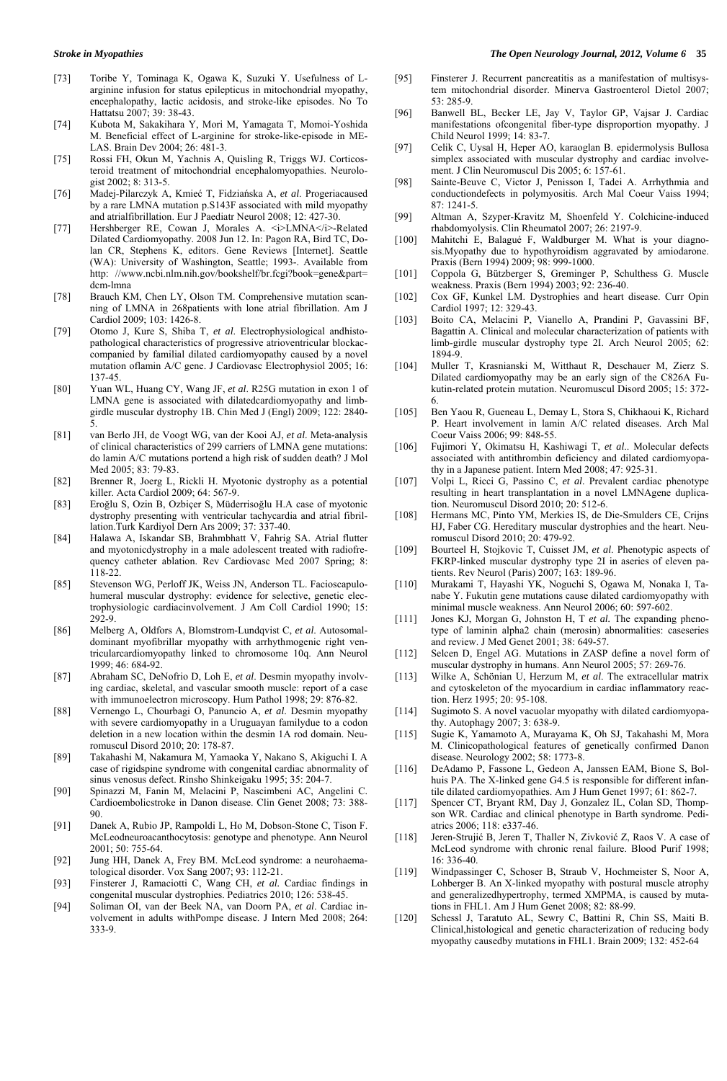- [73] Toribe Y, Tominaga K, Ogawa K, Suzuki Y. Usefulness of Larginine infusion for status epilepticus in mitochondrial myopathy, encephalopathy, lactic acidosis, and stroke-like episodes. No To Hattatsu 2007; 39: 38-43.
- [74] Kubota M, Sakakihara Y, Mori M, Yamagata T, Momoi-Yoshida M. Beneficial effect of L-arginine for stroke-like-episode in ME-LAS. Brain Dev 2004; 26: 481-3.
- [75] Rossi FH, Okun M, Yachnis A, Quisling R, Triggs WJ. Corticosteroid treatment of mitochondrial encephalomyopathies. Neurologist 2002; 8: 313-5.
- [76] Madej-Pilarczyk A, Kmieć T, Fidziańska A, *et al*. Progeriacaused by a rare LMNA mutation p.S143F associated with mild myopathy and atrialfibrillation. Eur J Paediatr Neurol 2008; 12: 427-30.
- [77] Hershberger RE, Cowan J, Morales A. *<i>LMNA</i>-Related* Dilated Cardiomyopathy. 2008 Jun 12. In: Pagon RA, Bird TC, Dolan CR, Stephens K, editors. Gene Reviews [Internet]. Seattle (WA): University of Washington, Seattle; 1993-. Available from http: //www.ncbi.nlm.nih.gov/bookshelf/br.fcgi?book=gene&part= dcm-lmna
- [78] Brauch KM, Chen LY, Olson TM. Comprehensive mutation scanning of LMNA in 268patients with lone atrial fibrillation. Am J Cardiol 2009; 103: 1426-8.
- [79] Otomo J, Kure S, Shiba T, *et al*. Electrophysiological andhistopathological characteristics of progressive atrioventricular blockaccompanied by familial dilated cardiomyopathy caused by a novel mutation oflamin A/C gene. J Cardiovasc Electrophysiol 2005; 16: 137-45.
- [80] Yuan WL, Huang CY, Wang JF, *et al*. R25G mutation in exon 1 of LMNA gene is associated with dilatedcardiomyopathy and limbgirdle muscular dystrophy 1B. Chin Med J (Engl) 2009; 122: 2840- 5.
- [81] van Berlo JH, de Voogt WG, van der Kooi AJ, *et al*. Meta-analysis of clinical characteristics of 299 carriers of LMNA gene mutations: do lamin A/C mutations portend a high risk of sudden death? J Mol Med 2005; 83: 79-83.
- [82] Brenner R, Joerg L, Rickli H. Myotonic dystrophy as a potential killer. Acta Cardiol 2009; 64: 567-9.
- [83] Eroğlu S, Ozin B, Ozbiçer S, Müderrisoğlu H.A case of myotonic dystrophy presenting with ventricular tachycardia and atrial fibrillation.Turk Kardiyol Dern Ars 2009; 37: 337-40.
- [84] Halawa A, Iskandar SB, Brahmbhatt V, Fahrig SA. Atrial flutter and myotonicdystrophy in a male adolescent treated with radiofrequency catheter ablation. Rev Cardiovasc Med 2007 Spring; 8: 118-22.
- [85] Stevenson WG, Perloff JK, Weiss JN, Anderson TL. Facioscapulohumeral muscular dystrophy: evidence for selective, genetic electrophysiologic cardiacinvolvement. J Am Coll Cardiol 1990; 15: 292-9.
- [86] Melberg A, Oldfors A, Blomstrom-Lundqvist C, *et al*. Autosomaldominant myofibrillar myopathy with arrhythmogenic right ventricularcardiomyopathy linked to chromosome 10q. Ann Neurol 1999; 46: 684-92.
- [87] Abraham SC, DeNofrio D, Loh E, *et al*. Desmin myopathy involving cardiac, skeletal, and vascular smooth muscle: report of a case with immunoelectron microscopy. Hum Pathol 1998; 29: 876-82.
- [88] Vernengo L, Chourbagi O, Panuncio A, *et al*. Desmin myopathy with severe cardiomyopathy in a Uruguayan familydue to a codon deletion in a new location within the desmin 1A rod domain. Neuromuscul Disord 2010; 20: 178-87.
- [89] Takahashi M, Nakamura M, Yamaoka Y, Nakano S, Akiguchi I. A case of rigidspine syndrome with congenital cardiac abnormality of sinus venosus defect. Rinsho Shinkeigaku 1995; 35: 204-7.
- [90] Spinazzi M, Fanin M, Melacini P, Nascimbeni AC, Angelini C. Cardioembolicstroke in Danon disease. Clin Genet 2008; 73: 388- 90.
- [91] Danek A, Rubio JP, Rampoldi L, Ho M, Dobson-Stone C, Tison F. McLeodneuroacanthocytosis: genotype and phenotype. Ann Neurol 2001; 50: 755-64.
- [92] Jung HH, Danek A, Frey BM. McLeod syndrome: a neurohaematological disorder. Vox Sang 2007; 93: 112-21.
- [93] Finsterer J, Ramaciotti C, Wang CH, *et al.* Cardiac findings in congenital muscular dystrophies. Pediatrics 2010; 126: 538-45.
- [94] Soliman OI, van der Beek NA, van Doorn PA, *et al*. Cardiac involvement in adults withPompe disease. J Intern Med 2008; 264: 333-9.

#### *Stroke in Myopathies The Open Neurology Journal, 2012, Volume 6* **35**

- [95] Finsterer J. Recurrent pancreatitis as a manifestation of multisystem mitochondrial disorder. Minerva Gastroenterol Dietol 2007; 53: 285-9.
- [96] Banwell BL, Becker LE, Jay V, Taylor GP, Vajsar J. Cardiac manifestations ofcongenital fiber-type disproportion myopathy. J Child Neurol 1999; 14: 83-7.
- [97] Celik C, Uysal H, Heper AO, karaoglan B. epidermolysis Bullosa simplex associated with muscular dystrophy and cardiac involvement. J Clin Neuromuscul Dis 2005; 6: 157-61.
- [98] Sainte-Beuve C, Victor J, Penisson I, Tadei A. Arrhythmia and conductiondefects in polymyositis. Arch Mal Coeur Vaiss 1994; 87: 1241-5.
- [99] Altman A, Szyper-Kravitz M, Shoenfeld Y. Colchicine-induced rhabdomyolysis. Clin Rheumatol 2007; 26: 2197-9.
- [100] Mahitchi E, Balagué F, Waldburger M. What is your diagnosis.Myopathy due to hypothyroidism aggravated by amiodarone. Praxis (Bern 1994) 2009; 98: 999-1000.
- [101] Coppola G, Bützberger S, Greminger P, Schulthess G. Muscle weakness. Praxis (Bern 1994) 2003; 92: 236-40.
- [102] Cox GF, Kunkel LM. Dystrophies and heart disease. Curr Opin Cardiol 1997; 12: 329-43.
- [103] Boito CA, Melacini P, Vianello A, Prandini P, Gavassini BF, Bagattin A. Clinical and molecular characterization of patients with limb-girdle muscular dystrophy type 2I. Arch Neurol 2005; 62: 1894-9.
- [104] Muller T, Krasnianski M, Witthaut R, Deschauer M, Zierz S. Dilated cardiomyopathy may be an early sign of the C826A Fukutin-related protein mutation. Neuromuscul Disord 2005; 15: 372- 6.
- [105] Ben Yaou R, Gueneau L, Demay L, Stora S, Chikhaoui K, Richard P. Heart involvement in lamin A/C related diseases. Arch Mal Coeur Vaiss 2006; 99: 848-55.
- [106] Fujimori Y, Okimatsu H, Kashiwagi T, *et al*.. Molecular defects associated with antithrombin deficiency and dilated cardiomyopathy in a Japanese patient. Intern Med 2008; 47: 925-31.
- [107] Volpi L, Ricci G, Passino C, *et al*. Prevalent cardiac phenotype resulting in heart transplantation in a novel LMNAgene duplication. Neuromuscul Disord 2010; 20: 512-6.
- [108] Hermans MC, Pinto YM, Merkies IS, de Die-Smulders CE, Crijns HJ, Faber CG. Hereditary muscular dystrophies and the heart. Neuromuscul Disord 2010; 20: 479-92.
- [109] Bourteel H, Stojkovic T, Cuisset JM, *et al*. Phenotypic aspects of FKRP-linked muscular dystrophy type 2I in aseries of eleven patients. Rev Neurol (Paris) 2007; 163: 189-96.
- [110] Murakami T, Hayashi YK, Noguchi S, Ogawa M, Nonaka I, Tanabe Y. Fukutin gene mutations cause dilated cardiomyopathy with minimal muscle weakness. Ann Neurol 2006; 60: 597-602.
- [111] Jones KJ, Morgan G, Johnston H, T et al. The expanding phenotype of laminin alpha2 chain (merosin) abnormalities: caseseries and review. J Med Genet 2001; 38: 649-57.
- [112] Selcen D, Engel AG. Mutations in ZASP define a novel form of muscular dystrophy in humans. Ann Neurol 2005; 57: 269-76.
- [113] Wilke A, Schönian U, Herzum M, *et al*. The extracellular matrix and cytoskeleton of the myocardium in cardiac inflammatory reaction. Herz 1995; 20: 95-108.
- [114] Sugimoto S. A novel vacuolar myopathy with dilated cardiomyopathy. Autophagy 2007; 3: 638-9.
- [115] Sugie K, Yamamoto A, Murayama K, Oh SJ, Takahashi M, Mora M. Clinicopathological features of genetically confirmed Danon disease. Neurology 2002; 58: 1773-8.
- [116] DeAdamo P, Fassone L, Gedeon A, Janssen EAM, Bione S, Bolhuis PA. The X-linked gene G4.5 is responsible for different infantile dilated cardiomyopathies. Am J Hum Genet 1997; 61: 862-7.
- [117] Spencer CT, Bryant RM, Day J, Gonzalez IL, Colan SD, Thompson WR. Cardiac and clinical phenotype in Barth syndrome. Pediatrics 2006; 118: e337-46.
- [118] Jeren-Strujić B, Jeren T, Thaller N, Zivković Z, Raos V. A case of McLeod syndrome with chronic renal failure. Blood Purif 1998; 16: 336-40.
- [119] Windpassinger C, Schoser B, Straub V, Hochmeister S, Noor A, Lohberger B. An X-linked myopathy with postural muscle atrophy and generalizedhypertrophy, termed XMPMA, is caused by mutations in FHL1. Am J Hum Genet 2008; 82: 88-99.
- [120] Schessl J, Taratuto AL, Sewry C, Battini R, Chin SS, Maiti B. Clinical,histological and genetic characterization of reducing body myopathy causedby mutations in FHL1. Brain 2009; 132: 452-64